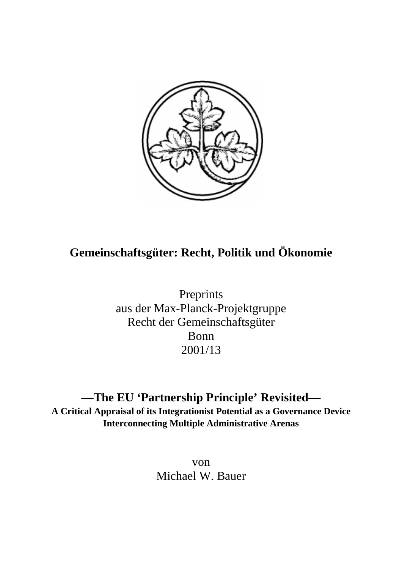

# **Gemeinschaftsgüter: Recht, Politik und Ökonomie**

Preprints aus der Max-Planck-Projektgruppe Recht der Gemeinschaftsgüter Bonn 2001/13

**—The EU 'Partnership Principle' Revisited— A Critical Appraisal of its Integrationist Potential as a Governance Device Interconnecting Multiple Administrative Arenas**

> von Michael W. Bauer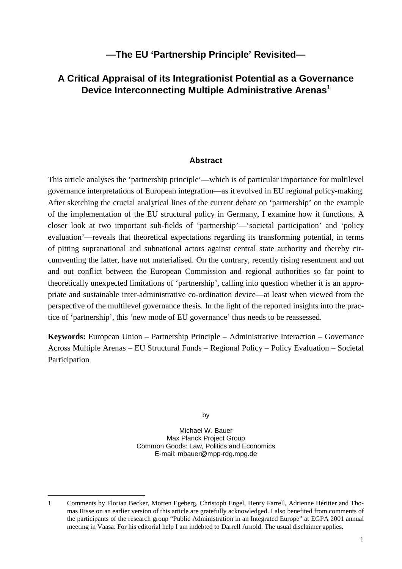## **—The EU 'Partnership Principle' Revisited—**

# **A Critical Appraisal of its Integrationist Potential as a Governance Device Interconnecting Multiple Administrative Arenas**<sup>1</sup>

#### **Abstract**

This article analyses the 'partnership principle'—which is of particular importance for multilevel governance interpretations of European integration—as it evolved in EU regional policy-making. After sketching the crucial analytical lines of the current debate on 'partnership' on the example of the implementation of the EU structural policy in Germany, I examine how it functions. A closer look at two important sub-fields of 'partnership'—'societal participation' and 'policy evaluation'—reveals that theoretical expectations regarding its transforming potential, in terms of pitting supranational and subnational actors against central state authority and thereby circumventing the latter, have not materialised. On the contrary, recently rising resentment and out and out conflict between the European Commission and regional authorities so far point to theoretically unexpected limitations of 'partnership', calling into question whether it is an appropriate and sustainable inter-administrative co-ordination device—at least when viewed from the perspective of the multilevel governance thesis. In the light of the reported insights into the practice of 'partnership', this 'new mode of EU governance' thus needs to be reassessed.

**Keywords:** European Union – Partnership Principle – Administrative Interaction – Governance Across Multiple Arenas – EU Structural Funds – Regional Policy – Policy Evaluation – Societal Participation

by

Michael W. Bauer Max Planck Project Group Common Goods: Law, Politics and Economics E-mail: mbauer@mpp-rdg.mpg.de

<sup>1</sup> Comments by Florian Becker, Morten Egeberg, Christoph Engel, Henry Farrell, Adrienne Héritier and Thomas Risse on an earlier version of this article are gratefully acknowledged. I also benefited from comments of the participants of the research group "Public Administration in an Integrated Europe" at EGPA 2001 annual meeting in Vaasa. For his editorial help I am indebted to Darrell Arnold. The usual disclaimer applies.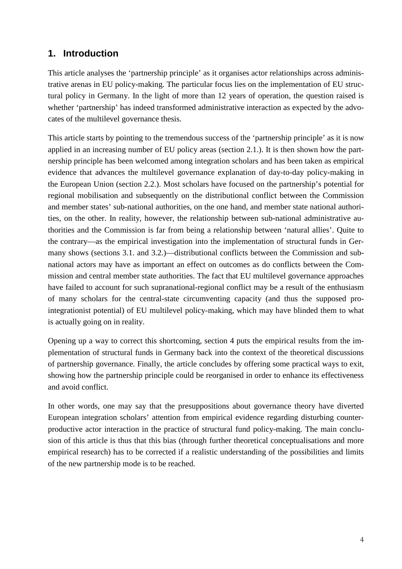# **1. Introduction**

This article analyses the 'partnership principle' as it organises actor relationships across administrative arenas in EU policy-making. The particular focus lies on the implementation of EU structural policy in Germany. In the light of more than 12 years of operation, the question raised is whether 'partnership' has indeed transformed administrative interaction as expected by the advocates of the multilevel governance thesis.

This article starts by pointing to the tremendous success of the 'partnership principle' as it is now applied in an increasing number of EU policy areas (section 2.1.). It is then shown how the partnership principle has been welcomed among integration scholars and has been taken as empirical evidence that advances the multilevel governance explanation of day-to-day policy-making in the European Union (section 2.2.). Most scholars have focused on the partnership's potential for regional mobilisation and subsequently on the distributional conflict between the Commission and member states' sub-national authorities, on the one hand, and member state national authorities, on the other. In reality, however, the relationship between sub-national administrative authorities and the Commission is far from being a relationship between 'natural allies'. Quite to the contrary—as the empirical investigation into the implementation of structural funds in Germany shows (sections 3.1. and 3.2.)—distributional conflicts between the Commission and subnational actors may have as important an effect on outcomes as do conflicts between the Commission and central member state authorities. The fact that EU multilevel governance approaches have failed to account for such supranational-regional conflict may be a result of the enthusiasm of many scholars for the central-state circumventing capacity (and thus the supposed prointegrationist potential) of EU multilevel policy-making, which may have blinded them to what is actually going on in reality.

Opening up a way to correct this shortcoming, section 4 puts the empirical results from the implementation of structural funds in Germany back into the context of the theoretical discussions of partnership governance. Finally, the article concludes by offering some practical ways to exit, showing how the partnership principle could be reorganised in order to enhance its effectiveness and avoid conflict.

In other words, one may say that the presuppositions about governance theory have diverted European integration scholars' attention from empirical evidence regarding disturbing counterproductive actor interaction in the practice of structural fund policy-making. The main conclusion of this article is thus that this bias (through further theoretical conceptualisations and more empirical research) has to be corrected if a realistic understanding of the possibilities and limits of the new partnership mode is to be reached.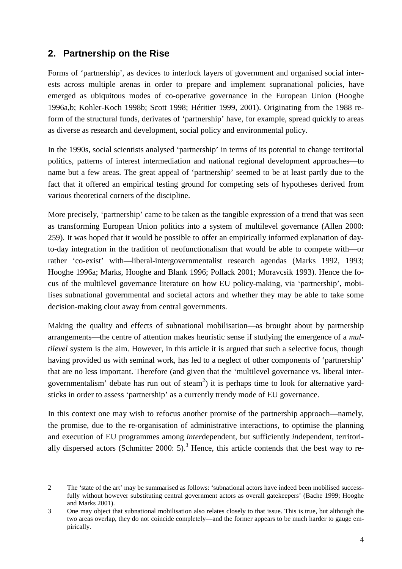## **2. Partnership on the Rise**

Forms of 'partnership', as devices to interlock layers of government and organised social interests across multiple arenas in order to prepare and implement supranational policies, have emerged as ubiquitous modes of co-operative governance in the European Union (Hooghe 1996a,b; Kohler-Koch 1998b; Scott 1998; Héritier 1999, 2001). Originating from the 1988 reform of the structural funds, derivates of 'partnership' have, for example, spread quickly to areas as diverse as research and development, social policy and environmental policy.

In the 1990s, social scientists analysed 'partnership' in terms of its potential to change territorial politics, patterns of interest intermediation and national regional development approaches—to name but a few areas. The great appeal of 'partnership' seemed to be at least partly due to the fact that it offered an empirical testing ground for competing sets of hypotheses derived from various theoretical corners of the discipline.

More precisely, 'partnership' came to be taken as the tangible expression of a trend that was seen as transforming European Union politics into a system of multilevel governance (Allen 2000: 259). It was hoped that it would be possible to offer an empirically informed explanation of dayto-day integration in the tradition of neofunctionalism that would be able to compete with—or rather 'co-exist' with—liberal-intergovernmentalist research agendas (Marks 1992, 1993; Hooghe 1996a; Marks, Hooghe and Blank 1996; Pollack 2001; Moravcsik 1993). Hence the focus of the multilevel governance literature on how EU policy-making, via 'partnership', mobilises subnational governmental and societal actors and whether they may be able to take some decision-making clout away from central governments.

Making the quality and effects of subnational mobilisation—as brought about by partnership arrangements—the centre of attention makes heuristic sense if studying the emergence of a *multilevel* system is the aim. However, in this article it is argued that such a selective focus, though having provided us with seminal work, has led to a neglect of other components of 'partnership' that are no less important. Therefore (and given that the 'multilevel governance vs. liberal intergovernmentalism' debate has run out of steam<sup>2</sup>) it is perhaps time to look for alternative yardsticks in order to assess 'partnership' as a currently trendy mode of EU governance.

In this context one may wish to refocus another promise of the partnership approach—namely, the promise, due to the re-organisation of administrative interactions, to optimise the planning and execution of EU programmes among *inter*dependent, but sufficiently *in*dependent, territorially dispersed actors (Schmitter 2000: 5).<sup>3</sup> Hence, this article contends that the best way to re-

<sup>2</sup> The 'state of the art' may be summarised as follows: 'subnational actors have indeed been mobilised successfully without however substituting central government actors as overall gatekeepers' (Bache 1999; Hooghe and Marks 2001).

<sup>3</sup> One may object that subnational mobilisation also relates closely to that issue. This is true, but although the two areas overlap, they do not coincide completely—and the former appears to be much harder to gauge empirically.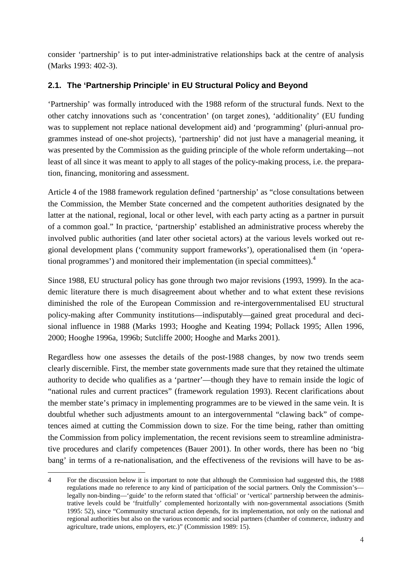consider 'partnership' is to put inter-administrative relationships back at the centre of analysis (Marks 1993: 402-3).

### **2.1. The 'Partnership Principle' in EU Structural Policy and Beyond**

'Partnership' was formally introduced with the 1988 reform of the structural funds. Next to the other catchy innovations such as 'concentration' (on target zones), 'additionality' (EU funding was to supplement not replace national development aid) and 'programming' (pluri-annual programmes instead of one-shot projects), 'partnership' did not just have a managerial meaning, it was presented by the Commission as the guiding principle of the whole reform undertaking—not least of all since it was meant to apply to all stages of the policy-making process, i.e. the preparation, financing, monitoring and assessment.

Article 4 of the 1988 framework regulation defined 'partnership' as "close consultations between the Commission, the Member State concerned and the competent authorities designated by the latter at the national, regional, local or other level, with each party acting as a partner in pursuit of a common goal." In practice, 'partnership' established an administrative process whereby the involved public authorities (and later other societal actors) at the various levels worked out regional development plans ('community support frameworks'), operationalised them (in 'operational programmes') and monitored their implementation (in special committees).<sup>4</sup>

Since 1988, EU structural policy has gone through two major revisions (1993, 1999). In the academic literature there is much disagreement about whether and to what extent these revisions diminished the role of the European Commission and re-intergovernmentalised EU structural policy-making after Community institutions—indisputably—gained great procedural and decisional influence in 1988 (Marks 1993; Hooghe and Keating 1994; Pollack 1995; Allen 1996, 2000; Hooghe 1996a, 1996b; Sutcliffe 2000; Hooghe and Marks 2001).

Regardless how one assesses the details of the post-1988 changes, by now two trends seem clearly discernible. First, the member state governments made sure that they retained the ultimate authority to decide who qualifies as a 'partner'—though they have to remain inside the logic of "national rules and current practices" (framework regulation 1993). Recent clarifications about the member state's primacy in implementing programmes are to be viewed in the same vein. It is doubtful whether such adjustments amount to an intergovernmental "clawing back" of competences aimed at cutting the Commission down to size. For the time being, rather than omitting the Commission from policy implementation, the recent revisions seem to streamline administrative procedures and clarify competences (Bauer 2001). In other words, there has been no 'big bang' in terms of a re-nationalisation, and the effectiveness of the revisions will have to be as-

<sup>4</sup> For the discussion below it is important to note that although the Commission had suggested this, the 1988 regulations made no reference to any kind of participation of the social partners. Only the Commission's legally non-binding—'guide' to the reform stated that 'official' or 'vertical' partnership between the administrative levels could be 'fruitfully' complemented horizontally with non-governmental associations (Smith 1995: 52), since "Community structural action depends, for its implementation, not only on the national and regional authorities but also on the various economic and social partners (chamber of commerce, industry and agriculture, trade unions, employers, etc.)" (Commission 1989: 15).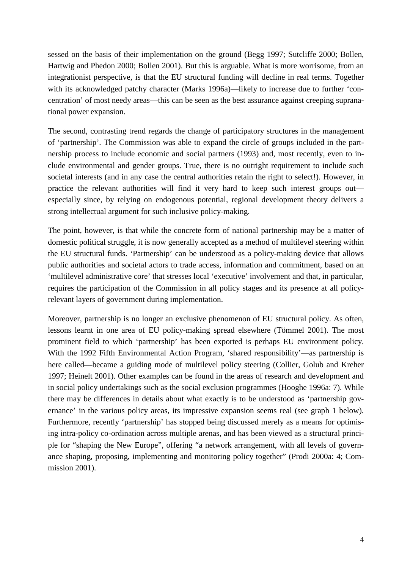sessed on the basis of their implementation on the ground (Begg 1997; Sutcliffe 2000; Bollen, Hartwig and Phedon 2000; Bollen 2001). But this is arguable. What is more worrisome, from an integrationist perspective, is that the EU structural funding will decline in real terms. Together with its acknowledged patchy character (Marks 1996a)—likely to increase due to further 'concentration' of most needy areas—this can be seen as the best assurance against creeping supranational power expansion.

The second, contrasting trend regards the change of participatory structures in the management of 'partnership'. The Commission was able to expand the circle of groups included in the partnership process to include economic and social partners (1993) and, most recently, even to include environmental and gender groups. True, there is no outright requirement to include such societal interests (and in any case the central authorities retain the right to select!). However, in practice the relevant authorities will find it very hard to keep such interest groups out especially since, by relying on endogenous potential, regional development theory delivers a strong intellectual argument for such inclusive policy-making.

The point, however, is that while the concrete form of national partnership may be a matter of domestic political struggle, it is now generally accepted as a method of multilevel steering within the EU structural funds. 'Partnership' can be understood as a policy-making device that allows public authorities and societal actors to trade access, information and commitment, based on an 'multilevel administrative core' that stresses local 'executive' involvement and that, in particular, requires the participation of the Commission in all policy stages and its presence at all policyrelevant layers of government during implementation.

Moreover, partnership is no longer an exclusive phenomenon of EU structural policy. As often, lessons learnt in one area of EU policy-making spread elsewhere (Tömmel 2001). The most prominent field to which 'partnership' has been exported is perhaps EU environment policy. With the 1992 Fifth Environmental Action Program, 'shared responsibility'—as partnership is here called—became a guiding mode of multilevel policy steering (Collier, Golub and Kreher 1997; Heinelt 2001). Other examples can be found in the areas of research and development and in social policy undertakings such as the social exclusion programmes (Hooghe 1996a: 7). While there may be differences in details about what exactly is to be understood as 'partnership governance' in the various policy areas, its impressive expansion seems real (see graph 1 below). Furthermore, recently 'partnership' has stopped being discussed merely as a means for optimising intra-policy co-ordination across multiple arenas, and has been viewed as a structural principle for "shaping the New Europe", offering "a network arrangement, with all levels of governance shaping, proposing, implementing and monitoring policy together" (Prodi 2000a: 4; Commission 2001).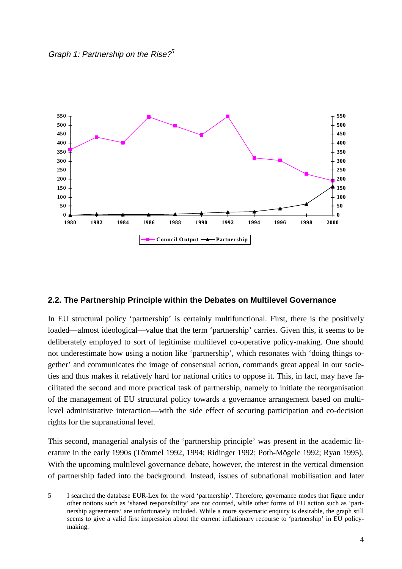



#### **2.2. The Partnership Principle within the Debates on Multilevel Governance**

In EU structural policy 'partnership' is certainly multifunctional. First, there is the positively loaded—almost ideological—value that the term 'partnership' carries. Given this, it seems to be deliberately employed to sort of legitimise multilevel co-operative policy-making. One should not underestimate how using a notion like 'partnership', which resonates with 'doing things together' and communicates the image of consensual action, commands great appeal in our societies and thus makes it relatively hard for national critics to oppose it. This, in fact, may have facilitated the second and more practical task of partnership, namely to initiate the reorganisation of the management of EU structural policy towards a governance arrangement based on multilevel administrative interaction—with the side effect of securing participation and co-decision rights for the supranational level.

This second, managerial analysis of the 'partnership principle' was present in the academic literature in the early 1990s (Tömmel 1992, 1994; Ridinger 1992; Poth-Mögele 1992; Ryan 1995). With the upcoming multilevel governance debate, however, the interest in the vertical dimension of partnership faded into the background. Instead, issues of subnational mobilisation and later

<sup>5</sup> I searched the database EUR-Lex for the word 'partnership'. Therefore, governance modes that figure under other notions such as 'shared responsibility' are not counted, while other forms of EU action such as 'partnership agreements' are unfortunately included. While a more systematic enquiry is desirable, the graph still seems to give a valid first impression about the current inflationary recourse to 'partnership' in EU policymaking.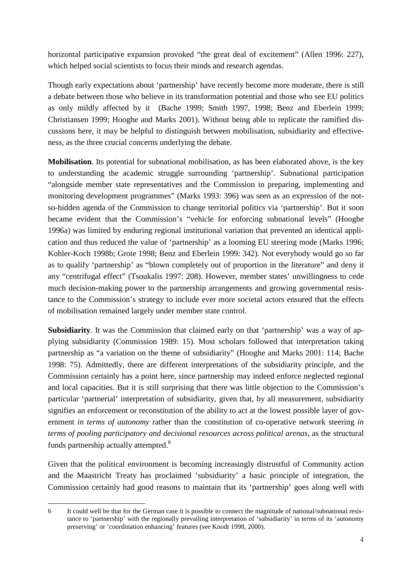horizontal participative expansion provoked "the great deal of excitement" (Allen 1996: 227), which helped social scientists to focus their minds and research agendas.

Though early expectations about 'partnership' have recently become more moderate, there is still a debate between those who believe in its transformation potential and those who see EU politics as only mildly affected by it (Bache 1999; Smith 1997, 1998; Benz and Eberlein 1999; Christiansen 1999; Hooghe and Marks 2001). Without being able to replicate the ramified discussions here, it may be helpful to distinguish between mobilisation, subsidiarity and effectiveness, as the three crucial concerns underlying the debate.

**Mobilisation**. Its potential for subnational mobilisation, as has been elaborated above, is the key to understanding the academic struggle surrounding 'partnership'. Subnational participation "alongside member state representatives and the Commission in preparing, implementing and monitoring development programmes" (Marks 1993: 396) was seen as an expression of the notso-hidden agenda of the Commission to change territorial politics via 'partnership'. But it soon became evident that the Commission's "vehicle for enforcing subnational levels" (Hooghe 1996a) was limited by enduring regional institutional variation that prevented an identical application and thus reduced the value of 'partnership' as a looming EU steering mode (Marks 1996; Kohler-Koch 1998b; Grote 1998; Benz and Eberlein 1999: 342). Not everybody would go so far as to qualify 'partnership' as "blown completely out of proportion in the literature" and deny it any "centrifugal effect" (Tsoukalis 1997: 208). However, member states' unwillingness to cede much decision-making power to the partnership arrangements and growing governmental resistance to the Commission's strategy to include ever more societal actors ensured that the effects of mobilisation remained largely under member state control.

**Subsidiarity**. It was the Commission that claimed early on that 'partnership' was a way of applying subsidiarity (Commission 1989: 15). Most scholars followed that interpretation taking partnership as "a variation on the theme of subsidiarity" (Hooghe and Marks 2001: 114; Bache 1998: 75). Admittedly, there are different interpretations of the subsidiarity principle, and the Commission certainly has a point here, since partnership may indeed enforce neglected regional and local capacities. But it is still surprising that there was little objection to the Commission's particular 'partnerial' interpretation of subsidiarity, given that, by all measurement, subsidiarity signifies an enforcement or reconstitution of the ability to act at the lowest possible layer of government *in terms of autonomy* rather than the constitution of co-operative network steering *in terms of pooling participatory and decisional resources across political arenas*, as the structural funds partnership actually attempted.<sup>6</sup>

Given that the political environment is becoming increasingly distrustful of Community action and the Maastricht Treaty has proclaimed 'subsidiarity' a basic principle of integration, the Commission certainly had good reasons to maintain that its 'partnership' goes along well with

<sup>6</sup> It could well be that for the German case it is possible to connect the magnitude of national/subnational resistance to 'partnership' with the regionally prevailing interpretation of 'subsidiarity' in terms of its 'autonomy preserving' or 'coordination enhancing' features (see Knodt 1998, 2000).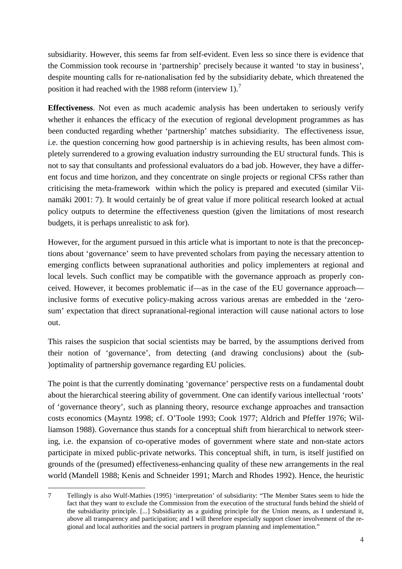subsidiarity. However, this seems far from self-evident. Even less so since there is evidence that the Commission took recourse in 'partnership' precisely because it wanted 'to stay in business', despite mounting calls for re-nationalisation fed by the subsidiarity debate, which threatened the position it had reached with the 1988 reform (interview 1).<sup>7</sup>

**Effectiveness**. Not even as much academic analysis has been undertaken to seriously verify whether it enhances the efficacy of the execution of regional development programmes as has been conducted regarding whether 'partnership' matches subsidiarity. The effectiveness issue, i.e. the question concerning how good partnership is in achieving results, has been almost completely surrendered to a growing evaluation industry surrounding the EU structural funds. This is not to say that consultants and professional evaluators do a bad job. However, they have a different focus and time horizon, and they concentrate on single projects or regional CFSs rather than criticising the meta-framework within which the policy is prepared and executed (similar Viinamäki 2001: 7). It would certainly be of great value if more political research looked at actual policy outputs to determine the effectiveness question (given the limitations of most research budgets, it is perhaps unrealistic to ask for).

However, for the argument pursued in this article what is important to note is that the preconceptions about 'governance' seem to have prevented scholars from paying the necessary attention to emerging conflicts between supranational authorities and policy implementers at regional and local levels. Such conflict may be compatible with the governance approach as properly conceived. However, it becomes problematic if—as in the case of the EU governance approach inclusive forms of executive policy-making across various arenas are embedded in the 'zerosum' expectation that direct supranational-regional interaction will cause national actors to lose out.

This raises the suspicion that social scientists may be barred, by the assumptions derived from their notion of 'governance', from detecting (and drawing conclusions) about the (sub- )optimality of partnership governance regarding EU policies.

The point is that the currently dominating 'governance' perspective rests on a fundamental doubt about the hierarchical steering ability of government. One can identify various intellectual 'roots' of 'governance theory', such as planning theory, resource exchange approaches and transaction costs economics (Mayntz 1998; cf. O'Toole 1993; Cook 1977; Aldrich and Pfeffer 1976; Williamson 1988). Governance thus stands for a conceptual shift from hierarchical to network steering, i.e. the expansion of co-operative modes of government where state and non-state actors participate in mixed public-private networks. This conceptual shift, in turn, is itself justified on grounds of the (presumed) effectiveness-enhancing quality of these new arrangements in the real world (Mandell 1988; Kenis and Schneider 1991; March and Rhodes 1992). Hence, the heuristic

<sup>7</sup> Tellingly is also Wulf-Mathies (1995) 'interpretation' of subsidiarity: "The Member States seem to hide the fact that they want to exclude the Commission from the execution of the structural funds behind the shield of the subsidiarity principle. [...] Subsidiarity as a guiding principle for the Union means, as I understand it, above all transparency and participation; and I will therefore especially support closer involvement of the regional and local authorities and the social partners in program planning and implementation."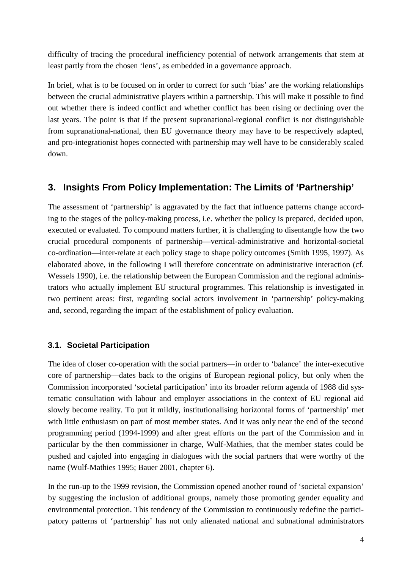difficulty of tracing the procedural inefficiency potential of network arrangements that stem at least partly from the chosen 'lens', as embedded in a governance approach.

In brief, what is to be focused on in order to correct for such 'bias' are the working relationships between the crucial administrative players within a partnership. This will make it possible to find out whether there is indeed conflict and whether conflict has been rising or declining over the last years. The point is that if the present supranational-regional conflict is not distinguishable from supranational-national, then EU governance theory may have to be respectively adapted, and pro-integrationist hopes connected with partnership may well have to be considerably scaled down.

### **3. Insights From Policy Implementation: The Limits of 'Partnership'**

The assessment of 'partnership' is aggravated by the fact that influence patterns change according to the stages of the policy-making process, i.e. whether the policy is prepared, decided upon, executed or evaluated. To compound matters further, it is challenging to disentangle how the two crucial procedural components of partnership—vertical-administrative and horizontal-societal co-ordination—inter-relate at each policy stage to shape policy outcomes (Smith 1995, 1997). As elaborated above, in the following I will therefore concentrate on administrative interaction (cf. Wessels 1990), i.e. the relationship between the European Commission and the regional administrators who actually implement EU structural programmes. This relationship is investigated in two pertinent areas: first, regarding social actors involvement in 'partnership' policy-making and, second, regarding the impact of the establishment of policy evaluation.

### **3.1. Societal Participation**

The idea of closer co-operation with the social partners—in order to 'balance' the inter-executive core of partnership—dates back to the origins of European regional policy, but only when the Commission incorporated 'societal participation' into its broader reform agenda of 1988 did systematic consultation with labour and employer associations in the context of EU regional aid slowly become reality. To put it mildly, institutionalising horizontal forms of 'partnership' met with little enthusiasm on part of most member states. And it was only near the end of the second programming period (1994-1999) and after great efforts on the part of the Commission and in particular by the then commissioner in charge, Wulf-Mathies, that the member states could be pushed and cajoled into engaging in dialogues with the social partners that were worthy of the name (Wulf-Mathies 1995; Bauer 2001, chapter 6).

In the run-up to the 1999 revision, the Commission opened another round of 'societal expansion' by suggesting the inclusion of additional groups, namely those promoting gender equality and environmental protection. This tendency of the Commission to continuously redefine the participatory patterns of 'partnership' has not only alienated national and subnational administrators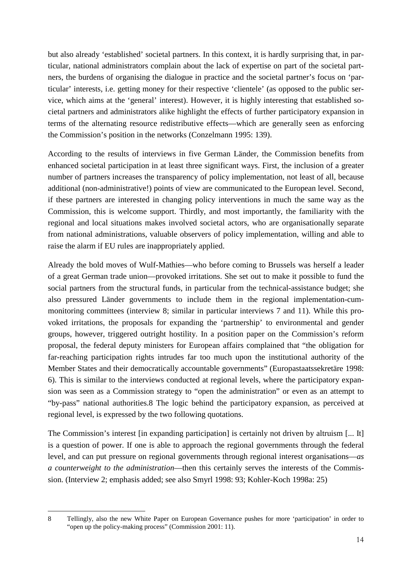but also already 'established' societal partners. In this context, it is hardly surprising that, in particular, national administrators complain about the lack of expertise on part of the societal partners, the burdens of organising the dialogue in practice and the societal partner's focus on 'particular' interests, i.e. getting money for their respective 'clientele' (as opposed to the public service, which aims at the 'general' interest). However, it is highly interesting that established societal partners and administrators alike highlight the effects of further participatory expansion in terms of the alternating resource redistributive effects—which are generally seen as enforcing the Commission's position in the networks (Conzelmann 1995: 139).

According to the results of interviews in five German Länder, the Commission benefits from enhanced societal participation in at least three significant ways. First, the inclusion of a greater number of partners increases the transparency of policy implementation, not least of all, because additional (non-administrative!) points of view are communicated to the European level. Second, if these partners are interested in changing policy interventions in much the same way as the Commission, this is welcome support. Thirdly, and most importantly, the familiarity with the regional and local situations makes involved societal actors, who are organisationally separate from national administrations, valuable observers of policy implementation, willing and able to raise the alarm if EU rules are inappropriately applied.

Already the bold moves of Wulf-Mathies—who before coming to Brussels was herself a leader of a great German trade union—provoked irritations. She set out to make it possible to fund the social partners from the structural funds, in particular from the technical-assistance budget; she also pressured Länder governments to include them in the regional implementation-cummonitoring committees (interview 8; similar in particular interviews 7 and 11). While this provoked irritations, the proposals for expanding the 'partnership' to environmental and gender groups, however, triggered outright hostility. In a position paper on the Commission's reform proposal, the federal deputy ministers for European affairs complained that "the obligation for far-reaching participation rights intrudes far too much upon the institutional authority of the Member States and their democratically accountable governments" (Europastaatssekretäre 1998: 6). This is similar to the interviews conducted at regional levels, where the participatory expansion was seen as a Commission strategy to "open the administration" or even as an attempt to "by-pass" national authorities.8 The logic behind the participatory expansion, as perceived at regional level, is expressed by the two following quotations.

The Commission's interest [in expanding participation] is certainly not driven by altruism [... It] is a question of power. If one is able to approach the regional governments through the federal level, and can put pressure on regional governments through regional interest organisations—*as a counterweight to the administration*—then this certainly serves the interests of the Commission. (Interview 2; emphasis added; see also Smyrl 1998: 93; Kohler-Koch 1998a: 25)

<sup>8</sup> Tellingly, also the new White Paper on European Governance pushes for more 'participation' in order to "open up the policy-making process" (Commission 2001: 11).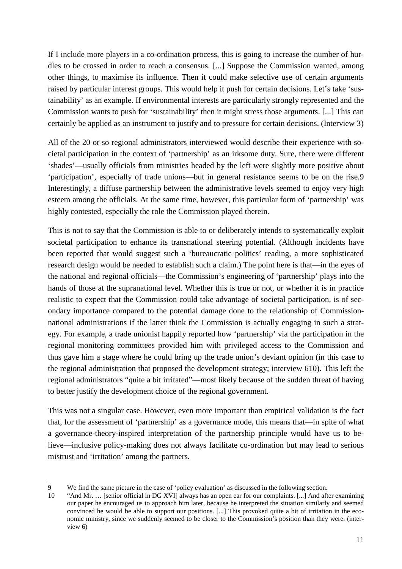If I include more players in a co-ordination process, this is going to increase the number of hurdles to be crossed in order to reach a consensus. [...] Suppose the Commission wanted, among other things, to maximise its influence. Then it could make selective use of certain arguments raised by particular interest groups. This would help it push for certain decisions. Let's take 'sustainability' as an example. If environmental interests are particularly strongly represented and the Commission wants to push for 'sustainability' then it might stress those arguments. [...] This can certainly be applied as an instrument to justify and to pressure for certain decisions. (Interview 3)

All of the 20 or so regional administrators interviewed would describe their experience with societal participation in the context of 'partnership' as an irksome duty. Sure, there were different 'shades'—usually officials from ministries headed by the left were slightly more positive about 'participation', especially of trade unions—but in general resistance seems to be on the rise.9 Interestingly, a diffuse partnership between the administrative levels seemed to enjoy very high esteem among the officials. At the same time, however, this particular form of 'partnership' was highly contested, especially the role the Commission played therein.

This is not to say that the Commission is able to or deliberately intends to systematically exploit societal participation to enhance its transnational steering potential. (Although incidents have been reported that would suggest such a 'bureaucratic politics' reading, a more sophisticated research design would be needed to establish such a claim.) The point here is that—in the eyes of the national and regional officials—the Commission's engineering of 'partnership' plays into the hands of those at the supranational level. Whether this is true or not, or whether it is in practice realistic to expect that the Commission could take advantage of societal participation, is of secondary importance compared to the potential damage done to the relationship of Commissionnational administrations if the latter think the Commission is actually engaging in such a strategy. For example, a trade unionist happily reported how 'partnership' via the participation in the regional monitoring committees provided him with privileged access to the Commission and thus gave him a stage where he could bring up the trade union's deviant opinion (in this case to the regional administration that proposed the development strategy; interview 610). This left the regional administrators "quite a bit irritated"—most likely because of the sudden threat of having to better justify the development choice of the regional government.

This was not a singular case. However, even more important than empirical validation is the fact that, for the assessment of 'partnership' as a governance mode, this means that—in spite of what a governance-theory-inspired interpretation of the partnership principle would have us to believe—inclusive policy-making does not always facilitate co-ordination but may lead to serious mistrust and 'irritation' among the partners.

<sup>9</sup> We find the same picture in the case of 'policy evaluation' as discussed in the following section.<br>10 'And Mr. ... [senior official in DG XVII always has an open ear for our complaints. [...] And aft

<sup>&</sup>quot;And Mr. ... [senior official in DG XVI] always has an open ear for our complaints. [...] And after examining our paper he encouraged us to approach him later, because he interpreted the situation similarly and seemed convinced he would be able to support our positions. [...] This provoked quite a bit of irritation in the economic ministry, since we suddenly seemed to be closer to the Commission's position than they were. (interview 6)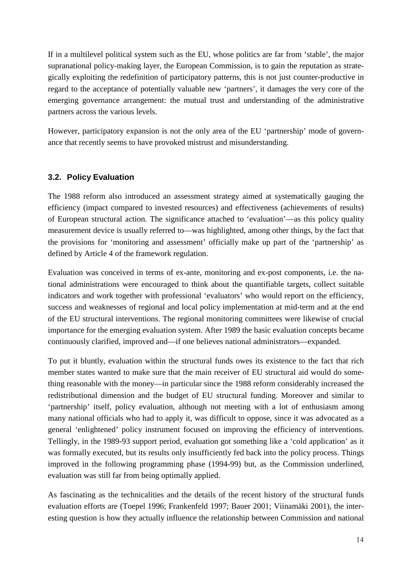If in a multilevel political system such as the EU, whose politics are far from 'stable', the major supranational policy-making layer, the European Commission, is to gain the reputation as strategically exploiting the redefinition of participatory patterns, this is not just counter-productive in regard to the acceptance of potentially valuable new 'partners', it damages the very core of the emerging governance arrangement: the mutual trust and understanding of the administrative partners across the various levels.

However, participatory expansion is not the only area of the EU 'partnership' mode of governance that recently seems to have provoked mistrust and misunderstanding.

#### **3.2. Policy Evaluation**

The 1988 reform also introduced an assessment strategy aimed at systematically gauging the efficiency (impact compared to invested resources) and effectiveness (achievements of results) of European structural action. The significance attached to 'evaluation'—as this policy quality measurement device is usually referred to—was highlighted, among other things, by the fact that the provisions for 'monitoring and assessment' officially make up part of the 'partnership' as defined by Article 4 of the framework regulation.

Evaluation was conceived in terms of ex-ante, monitoring and ex-post components, i.e. the national administrations were encouraged to think about the quantifiable targets, collect suitable indicators and work together with professional 'evaluators' who would report on the efficiency, success and weaknesses of regional and local policy implementation at mid-term and at the end of the EU structural interventions. The regional monitoring committees were likewise of crucial importance for the emerging evaluation system. After 1989 the basic evaluation concepts became continuously clarified, improved and—if one believes national administrators—expanded.

To put it bluntly, evaluation within the structural funds owes its existence to the fact that rich member states wanted to make sure that the main receiver of EU structural aid would do something reasonable with the money—in particular since the 1988 reform considerably increased the redistributional dimension and the budget of EU structural funding. Moreover and similar to 'partnership' itself, policy evaluation, although not meeting with a lot of enthusiasm among many national officials who had to apply it, was difficult to oppose, since it was advocated as a general 'enlightened' policy instrument focused on improving the efficiency of interventions. Tellingly, in the 1989-93 support period, evaluation got something like a 'cold application' as it was formally executed, but its results only insufficiently fed back into the policy process. Things improved in the following programming phase (1994-99) but, as the Commission underlined, evaluation was still far from being optimally applied.

As fascinating as the technicalities and the details of the recent history of the structural funds evaluation efforts are (Toepel 1996; Frankenfeld 1997; Bauer 2001; Viinamäki 2001), the interesting question is how they actually influence the relationship between Commission and national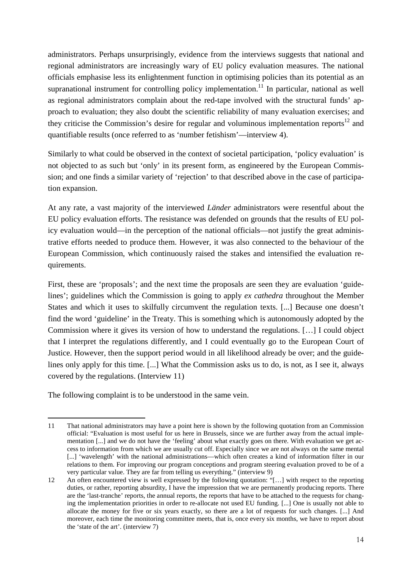administrators. Perhaps unsurprisingly, evidence from the interviews suggests that national and regional administrators are increasingly wary of EU policy evaluation measures. The national officials emphasise less its enlightenment function in optimising policies than its potential as an supranational instrument for controlling policy implementation.<sup>11</sup> In particular, national as well as regional administrators complain about the red-tape involved with the structural funds' approach to evaluation; they also doubt the scientific reliability of many evaluation exercises; and they criticise the Commission's desire for regular and voluminous implementation reports<sup>12</sup> and quantifiable results (once referred to as 'number fetishism'—interview 4).

Similarly to what could be observed in the context of societal participation, 'policy evaluation' is not objected to as such but 'only' in its present form, as engineered by the European Commission; and one finds a similar variety of 'rejection' to that described above in the case of participation expansion.

At any rate, a vast majority of the interviewed *Länder* administrators were resentful about the EU policy evaluation efforts. The resistance was defended on grounds that the results of EU policy evaluation would—in the perception of the national officials—not justify the great administrative efforts needed to produce them. However, it was also connected to the behaviour of the European Commission, which continuously raised the stakes and intensified the evaluation requirements.

First, these are 'proposals'; and the next time the proposals are seen they are evaluation 'guidelines'; guidelines which the Commission is going to apply *ex cathedra* throughout the Member States and which it uses to skilfully circumvent the regulation texts. [...] Because one doesn't find the word 'guideline' in the Treaty. This is something which is autonomously adopted by the Commission where it gives its version of how to understand the regulations. […] I could object that I interpret the regulations differently, and I could eventually go to the European Court of Justice. However, then the support period would in all likelihood already be over; and the guidelines only apply for this time. [...] What the Commission asks us to do, is not, as I see it, always covered by the regulations. (Interview 11)

The following complaint is to be understood in the same vein.

<sup>11</sup> That national administrators may have a point here is shown by the following quotation from an Commission official: "Evaluation is most useful for us here in Brussels, since we are further away from the actual implementation [...] and we do not have the 'feeling' about what exactly goes on there. With evaluation we get access to information from which we are usually cut off. Especially since we are not always on the same mental [...] 'wavelength' with the national administrations—which often creates a kind of information filter in our relations to them. For improving our program conceptions and program steering evaluation proved to be of a very particular value. They are far from telling us everything." (interview 9)

<sup>12</sup> An often encountered view is well expressed by the following quotation: "[…] with respect to the reporting duties, or rather, reporting absurdity, I have the impression that we are permanently producing reports. There are the 'last-tranche' reports, the annual reports, the reports that have to be attached to the requests for changing the implementation priorities in order to re-allocate not used EU funding. [...] One is usually not able to allocate the money for five or six years exactly, so there are a lot of requests for such changes. [...] And moreover, each time the monitoring committee meets, that is, once every six months, we have to report about the 'state of the art'. (interview 7)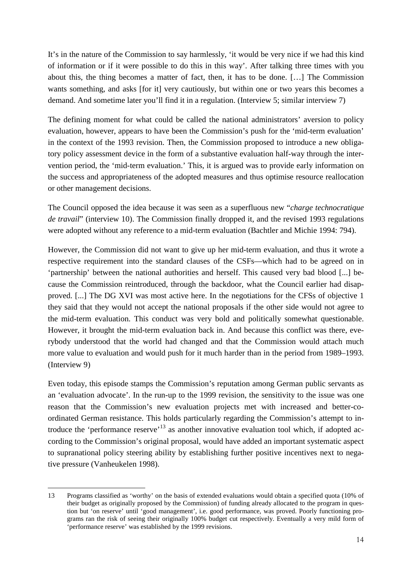It's in the nature of the Commission to say harmlessly, 'it would be very nice if we had this kind of information or if it were possible to do this in this way'. After talking three times with you about this, the thing becomes a matter of fact, then, it has to be done. […] The Commission wants something, and asks [for it] very cautiously, but within one or two years this becomes a demand. And sometime later you'll find it in a regulation. (Interview 5; similar interview 7)

The defining moment for what could be called the national administrators' aversion to policy evaluation, however, appears to have been the Commission's push for the 'mid-term evaluation' in the context of the 1993 revision. Then, the Commission proposed to introduce a new obligatory policy assessment device in the form of a substantive evaluation half-way through the intervention period, the 'mid-term evaluation.' This, it is argued was to provide early information on the success and appropriateness of the adopted measures and thus optimise resource reallocation or other management decisions.

The Council opposed the idea because it was seen as a superfluous new "*charge technocratique de travail*" (interview 10). The Commission finally dropped it, and the revised 1993 regulations were adopted without any reference to a mid-term evaluation (Bachtler and Michie 1994: 794).

However, the Commission did not want to give up her mid-term evaluation, and thus it wrote a respective requirement into the standard clauses of the CSFs—which had to be agreed on in 'partnership' between the national authorities and herself. This caused very bad blood [...] because the Commission reintroduced, through the backdoor, what the Council earlier had disapproved. [...] The DG XVI was most active here. In the negotiations for the CFSs of objective 1 they said that they would not accept the national proposals if the other side would not agree to the mid-term evaluation. This conduct was very bold and politically somewhat questionable. However, it brought the mid-term evaluation back in. And because this conflict was there, everybody understood that the world had changed and that the Commission would attach much more value to evaluation and would push for it much harder than in the period from 1989–1993. (Interview 9)

Even today, this episode stamps the Commission's reputation among German public servants as an 'evaluation advocate'. In the run-up to the 1999 revision, the sensitivity to the issue was one reason that the Commission's new evaluation projects met with increased and better-coordinated German resistance. This holds particularly regarding the Commission's attempt to introduce the 'performance reserve'<sup>13</sup> as another innovative evaluation tool which, if adopted according to the Commission's original proposal, would have added an important systematic aspect to supranational policy steering ability by establishing further positive incentives next to negative pressure (Vanheukelen 1998).

<sup>13</sup> Programs classified as 'worthy' on the basis of extended evaluations would obtain a specified quota (10% of their budget as originally proposed by the Commission) of funding already allocated to the program in question but 'on reserve' until 'good management', i.e. good performance, was proved. Poorly functioning programs ran the risk of seeing their originally 100% budget cut respectively. Eventually a very mild form of 'performance reserve' was established by the 1999 revisions.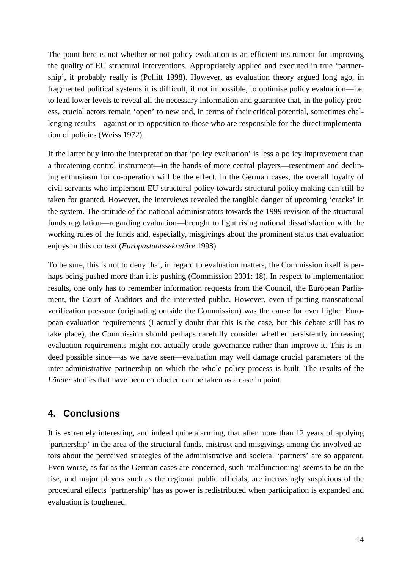The point here is not whether or not policy evaluation is an efficient instrument for improving the quality of EU structural interventions. Appropriately applied and executed in true 'partnership', it probably really is (Pollitt 1998). However, as evaluation theory argued long ago, in fragmented political systems it is difficult, if not impossible, to optimise policy evaluation—i.e. to lead lower levels to reveal all the necessary information and guarantee that, in the policy process, crucial actors remain 'open' to new and, in terms of their critical potential, sometimes challenging results—against or in opposition to those who are responsible for the direct implementation of policies (Weiss 1972).

If the latter buy into the interpretation that 'policy evaluation' is less a policy improvement than a threatening control instrument—in the hands of more central players—resentment and declining enthusiasm for co-operation will be the effect. In the German cases, the overall loyalty of civil servants who implement EU structural policy towards structural policy-making can still be taken for granted. However, the interviews revealed the tangible danger of upcoming 'cracks' in the system. The attitude of the national administrators towards the 1999 revision of the structural funds regulation—regarding evaluation—brought to light rising national dissatisfaction with the working rules of the funds and, especially, misgivings about the prominent status that evaluation enjoys in this context (*Europastaatssekretäre* 1998).

To be sure, this is not to deny that, in regard to evaluation matters, the Commission itself is perhaps being pushed more than it is pushing (Commission 2001: 18). In respect to implementation results, one only has to remember information requests from the Council, the European Parliament, the Court of Auditors and the interested public. However, even if putting transnational verification pressure (originating outside the Commission) was the cause for ever higher European evaluation requirements (I actually doubt that this is the case, but this debate still has to take place), the Commission should perhaps carefully consider whether persistently increasing evaluation requirements might not actually erode governance rather than improve it. This is indeed possible since—as we have seen—evaluation may well damage crucial parameters of the inter-administrative partnership on which the whole policy process is built. The results of the *Länder* studies that have been conducted can be taken as a case in point.

## **4. Conclusions**

It is extremely interesting, and indeed quite alarming, that after more than 12 years of applying 'partnership' in the area of the structural funds, mistrust and misgivings among the involved actors about the perceived strategies of the administrative and societal 'partners' are so apparent. Even worse, as far as the German cases are concerned, such 'malfunctioning' seems to be on the rise, and major players such as the regional public officials, are increasingly suspicious of the procedural effects 'partnership' has as power is redistributed when participation is expanded and evaluation is toughened.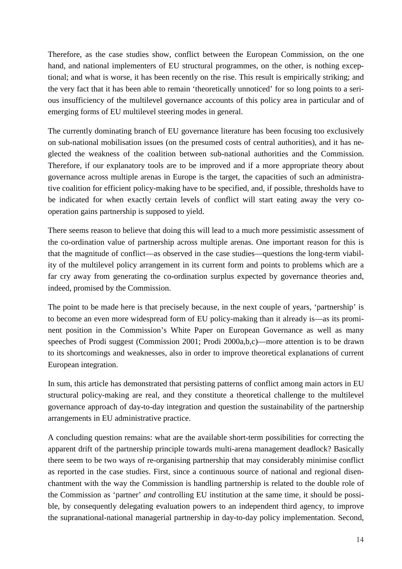Therefore, as the case studies show, conflict between the European Commission, on the one hand, and national implementers of EU structural programmes, on the other, is nothing exceptional; and what is worse, it has been recently on the rise. This result is empirically striking; and the very fact that it has been able to remain 'theoretically unnoticed' for so long points to a serious insufficiency of the multilevel governance accounts of this policy area in particular and of emerging forms of EU multilevel steering modes in general.

The currently dominating branch of EU governance literature has been focusing too exclusively on sub-national mobilisation issues (on the presumed costs of central authorities), and it has neglected the weakness of the coalition between sub-national authorities and the Commission. Therefore, if our explanatory tools are to be improved and if a more appropriate theory about governance across multiple arenas in Europe is the target, the capacities of such an administrative coalition for efficient policy-making have to be specified, and, if possible, thresholds have to be indicated for when exactly certain levels of conflict will start eating away the very cooperation gains partnership is supposed to yield.

There seems reason to believe that doing this will lead to a much more pessimistic assessment of the co-ordination value of partnership across multiple arenas. One important reason for this is that the magnitude of conflict—as observed in the case studies—questions the long-term viability of the multilevel policy arrangement in its current form and points to problems which are a far cry away from generating the co-ordination surplus expected by governance theories and, indeed, promised by the Commission.

The point to be made here is that precisely because, in the next couple of years, 'partnership' is to become an even more widespread form of EU policy-making than it already is—as its prominent position in the Commission's White Paper on European Governance as well as many speeches of Prodi suggest (Commission 2001; Prodi 2000a,b,c)—more attention is to be drawn to its shortcomings and weaknesses, also in order to improve theoretical explanations of current European integration.

In sum, this article has demonstrated that persisting patterns of conflict among main actors in EU structural policy-making are real, and they constitute a theoretical challenge to the multilevel governance approach of day-to-day integration and question the sustainability of the partnership arrangements in EU administrative practice.

A concluding question remains: what are the available short-term possibilities for correcting the apparent drift of the partnership principle towards multi-arena management deadlock? Basically there seem to be two ways of re-organising partnership that may considerably minimise conflict as reported in the case studies. First, since a continuous source of national and regional disenchantment with the way the Commission is handling partnership is related to the double role of the Commission as 'partner' *and* controlling EU institution at the same time, it should be possible, by consequently delegating evaluation powers to an independent third agency, to improve the supranational-national managerial partnership in day-to-day policy implementation. Second,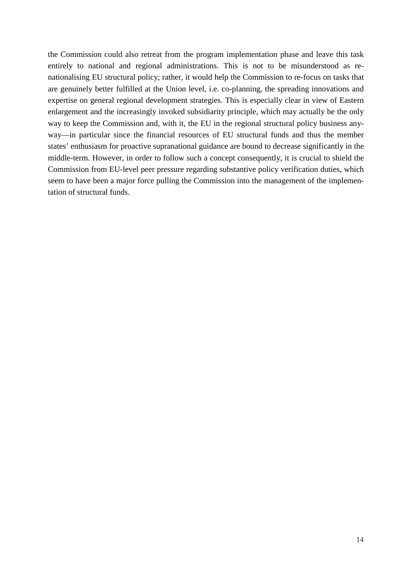the Commission could also retreat from the program implementation phase and leave this task entirely to national and regional administrations. This is not to be misunderstood as renationalising EU structural policy; rather, it would help the Commission to re-focus on tasks that are genuinely better fulfilled at the Union level, i.e. co-planning, the spreading innovations and expertise on general regional development strategies. This is especially clear in view of Eastern enlargement and the increasingly invoked subsidiarity principle, which may actually be the only way to keep the Commission and, with it, the EU in the regional structural policy business anyway—in particular since the financial resources of EU structural funds and thus the member states' enthusiasm for proactive supranational guidance are bound to decrease significantly in the middle-term. However, in order to follow such a concept consequently, it is crucial to shield the Commission from EU-level peer pressure regarding substantive policy verification duties, which seem to have been a major force pulling the Commission into the management of the implementation of structural funds.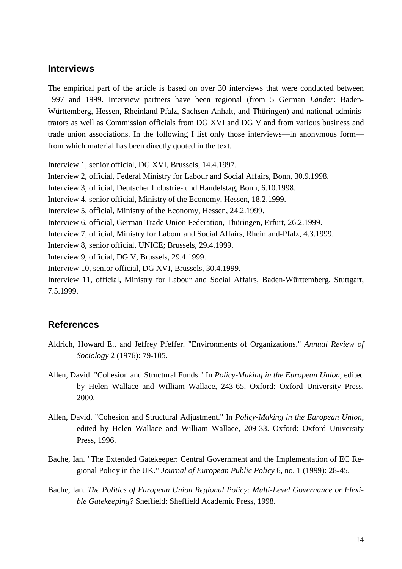#### **Interviews**

The empirical part of the article is based on over 30 interviews that were conducted between 1997 and 1999. Interview partners have been regional (from 5 German *Länder*: Baden-Württemberg, Hessen, Rheinland-Pfalz, Sachsen-Anhalt, and Thüringen) and national administrators as well as Commission officials from DG XVI and DG V and from various business and trade union associations. In the following I list only those interviews—in anonymous form from which material has been directly quoted in the text.

Interview 1, senior official, DG XVI, Brussels, 14.4.1997.

Interview 2, official, Federal Ministry for Labour and Social Affairs, Bonn, 30.9.1998.

Interview 3, official, Deutscher Industrie- und Handelstag, Bonn, 6.10.1998.

Interview 4, senior official, Ministry of the Economy, Hessen, 18.2.1999.

Interview 5, official, Ministry of the Economy, Hessen, 24.2.1999.

Interview 6, official, German Trade Union Federation, Thüringen, Erfurt, 26.2.1999.

Interview 7, official, Ministry for Labour and Social Affairs, Rheinland-Pfalz, 4.3.1999.

Interview 8, senior official, UNICE; Brussels, 29.4.1999.

Interview 9, official, DG V, Brussels, 29.4.1999.

Interview 10, senior official, DG XVI, Brussels, 30.4.1999.

Interview 11, official, Ministry for Labour and Social Affairs, Baden-Württemberg, Stuttgart, 7.5.1999.

### **References**

- Aldrich, Howard E., and Jeffrey Pfeffer. "Environments of Organizations." *Annual Review of Sociology* 2 (1976): 79-105.
- Allen, David. "Cohesion and Structural Funds." In *Policy-Making in the European Union*, edited by Helen Wallace and William Wallace, 243-65. Oxford: Oxford University Press, 2000.
- Allen, David. "Cohesion and Structural Adjustment." In *Policy-Making in the European Union*, edited by Helen Wallace and William Wallace, 209-33. Oxford: Oxford University Press, 1996.
- Bache, Ian. "The Extended Gatekeeper: Central Government and the Implementation of EC Regional Policy in the UK." *Journal of European Public Policy* 6, no. 1 (1999): 28-45.
- Bache, Ian. *The Politics of European Union Regional Policy: Multi-Level Governance or Flexible Gatekeeping?* Sheffield: Sheffield Academic Press, 1998.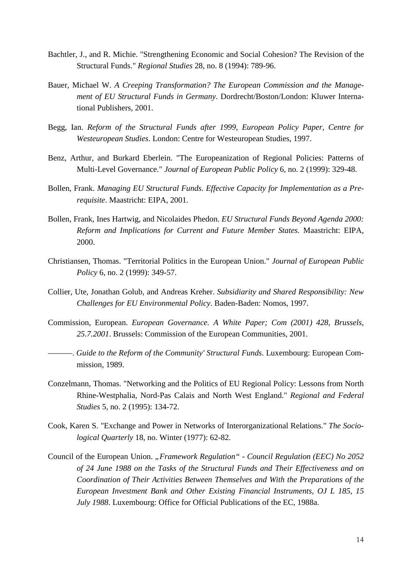- Bachtler, J., and R. Michie. "Strengthening Economic and Social Cohesion? The Revision of the Structural Funds." *Regional Studies* 28, no. 8 (1994): 789-96.
- Bauer, Michael W. *A Creeping Transformation? The European Commission and the Management of EU Structural Funds in Germany*. Dordrecht/Boston/London: Kluwer International Publishers, 2001.
- Begg, Ian. *Reform of the Structural Funds after 1999, European Policy Paper, Centre for Westeuropean Studies*. London: Centre for Westeuropean Studies, 1997.
- Benz, Arthur, and Burkard Eberlein. "The Europeanization of Regional Policies: Patterns of Multi-Level Governance." *Journal of European Public Policy* 6, no. 2 (1999): 329-48.
- Bollen, Frank. *Managing EU Structural Funds. Effective Capacity for Implementation as a Prerequisite*. Maastricht: EIPA, 2001.
- Bollen, Frank, Ines Hartwig, and Nicolaides Phedon. *EU Structural Funds Beyond Agenda 2000: Reform and Implications for Current and Future Member States*. Maastricht: EIPA, 2000.
- Christiansen, Thomas. "Territorial Politics in the European Union." *Journal of European Public Policy* 6, no. 2 (1999): 349-57.
- Collier, Ute, Jonathan Golub, and Andreas Kreher. *Subsidiarity and Shared Responsibility: New Challenges for EU Environmental Policy*. Baden-Baden: Nomos, 1997.
- Commission, European. *European Governance. A White Paper; Com (2001) 428, Brussels, 25.7.2001*. Brussels: Commission of the European Communities, 2001.
- ———. *Guide to the Reform of the Community' Structural Funds*. Luxembourg: European Commission, 1989.
- Conzelmann, Thomas. "Networking and the Politics of EU Regional Policy: Lessons from North Rhine-Westphalia, Nord-Pas Calais and North West England." *Regional and Federal Studies* 5, no. 2 (1995): 134-72.
- Cook, Karen S. "Exchange and Power in Networks of Interorganizational Relations." *The Sociological Quarterly* 18, no. Winter (1977): 62-82.
- Council of the European Union. "Framework Regulation" Council Regulation (EEC) No 2052 *of 24 June 1988 on the Tasks of the Structural Funds and Their Effectiveness and on Coordination of Their Activities Between Themselves and With the Preparations of the European Investment Bank and Other Existing Financial Instruments, OJ L 185, 15 July 1988*. Luxembourg: Office for Official Publications of the EC, 1988a.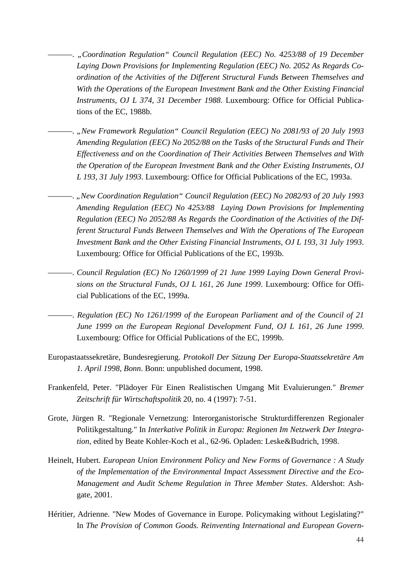- ———. *"Coordination Regulation" Council Regulation (EEC) No. 4253/88 of 19 December Laying Down Provisions for Implementing Regulation (EEC) No. 2052 As Regards Coordination of the Activities of the Different Structural Funds Between Themselves and With the Operations of the European Investment Bank and the Other Existing Financial Instruments, OJ L 374, 31 December 1988*. Luxembourg: Office for Official Publications of the EC, 1988b.
- ———. *"New Framework Regulation" Council Regulation (EEC) No 2081/93 of 20 July 1993 Amending Regulation (EEC) No 2052/88 on the Tasks of the Structural Funds and Their Effectiveness and on the Coordination of Their Activities Between Themselves and With the Operation of the European Investment Bank and the Other Existing Instruments, OJ L 193, 31 July 1993*. Luxembourg: Office for Official Publications of the EC, 1993a.
- ———. *"New Coordination Regulation" Council Regulation (EEC) No 2082/93 of 20 July 1993 Amending Regulation (EEC) No 4253/88 Laying Down Provisions for Implementing Regulation (EEC) No 2052/88 As Regards the Coordination of the Activities of the Different Structural Funds Between Themselves and With the Operations of The European Investment Bank and the Other Existing Financial Instruments, OJ L 193, 31 July 1993*. Luxembourg: Office for Official Publications of the EC, 1993b.
- -. *Council Regulation (EC) No 1260/1999 of 21 June 1999 Laying Down General Provisions on the Structural Funds, OJ L 161, 26 June 1999*. Luxembourg: Office for Official Publications of the EC, 1999a.
- ———. *Regulation (EC) No 1261/1999 of the European Parliament and of the Council of 21 June 1999 on the European Regional Development Fund, OJ L 161, 26 June 1999*. Luxembourg: Office for Official Publications of the EC, 1999b.
- Europastaatssekretäre, Bundesregierung. *Protokoll Der Sitzung Der Europa-Staatssekretäre Am 1. April 1998, Bonn*. Bonn: unpublished document, 1998.
- Frankenfeld, Peter. "Plädoyer Für Einen Realistischen Umgang Mit Evaluierungen." *Bremer Zeitschrift für Wirtschaftspolitik* 20, no. 4 (1997): 7-51.
- Grote, Jürgen R. "Regionale Vernetzung: Interorganistorische Strukturdifferenzen Regionaler Politikgestaltung." In *Interkative Politik in Europa: Regionen Im Netzwerk Der Integration*, edited by Beate Kohler-Koch et al., 62-96. Opladen: Leske&Budrich, 1998.
- Heinelt, Hubert. *European Union Environment Policy and New Forms of Governance : A Study of the Implementation of the Environmental Impact Assessment Directive and the Eco-Management and Audit Scheme Regulation in Three Member States*. Aldershot: Ashgate, 2001.
- Héritier, Adrienne. "New Modes of Governance in Europe. Policymaking without Legislating?" In *The Provision of Common Goods. Reinventing International and European Govern-*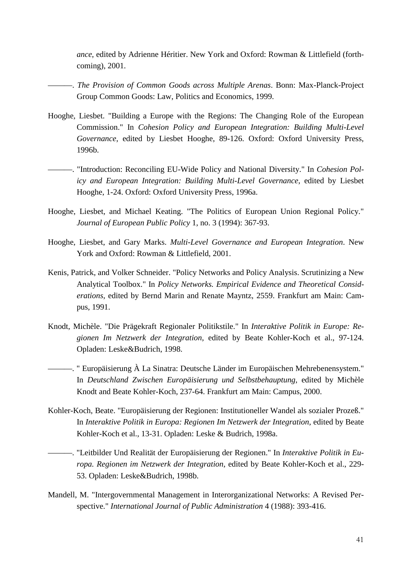*ance*, edited by Adrienne Héritier. New York and Oxford: Rowman & Littlefield (forthcoming), 2001.

- ———. *The Provision of Common Goods across Multiple Arenas*. Bonn: Max-Planck-Project Group Common Goods: Law, Politics and Economics, 1999.
- Hooghe, Liesbet. "Building a Europe with the Regions: The Changing Role of the European Commission." In *Cohesion Policy and European Integration: Building Multi-Level Governance*, edited by Liesbet Hooghe, 89-126. Oxford: Oxford University Press, 1996b.
- ———. "Introduction: Reconciling EU-Wide Policy and National Diversity." In *Cohesion Policy and European Integration: Building Multi-Level Governance*, edited by Liesbet Hooghe, 1-24. Oxford: Oxford University Press, 1996a.
- Hooghe, Liesbet, and Michael Keating. "The Politics of European Union Regional Policy." *Journal of European Public Policy* 1, no. 3 (1994): 367-93.
- Hooghe, Liesbet, and Gary Marks. *Multi-Level Governance and European Integration*. New York and Oxford: Rowman & Littlefield, 2001.
- Kenis, Patrick, and Volker Schneider. "Policy Networks and Policy Analysis. Scrutinizing a New Analytical Toolbox." In *Policy Networks. Empirical Evidence and Theoretical Considerations*, edited by Bernd Marin and Renate Mayntz, 2559. Frankfurt am Main: Campus, 1991.
- Knodt, Michèle. "Die Prägekraft Regionaler Politikstile." In *Interaktive Politik in Europe: Regionen Im Netzwerk der Integration*, edited by Beate Kohler-Koch et al., 97-124. Opladen: Leske&Budrich, 1998.
- ———. " Europäisierung À La Sinatra: Deutsche Länder im Europäischen Mehrebenensystem." In *Deutschland Zwischen Europäisierung und Selbstbehauptung*, edited by Michèle Knodt and Beate Kohler-Koch, 237-64. Frankfurt am Main: Campus, 2000.
- Kohler-Koch, Beate. "Europäisierung der Regionen: Institutioneller Wandel als sozialer Prozeß." In *Interaktive Politik in Europa: Regionen Im Netzwerk der Integration*, edited by Beate Kohler-Koch et al., 13-31. Opladen: Leske & Budrich, 1998a.
- ———. "Leitbilder Und Realität der Europäisierung der Regionen." In *Interaktive Politik in Europa. Regionen im Netzwerk der Integration*, edited by Beate Kohler-Koch et al., 229- 53. Opladen: Leske&Budrich, 1998b.
- Mandell, M. "Intergovernmental Management in Interorganizational Networks: A Revised Perspective." *International Journal of Public Administration* 4 (1988): 393-416.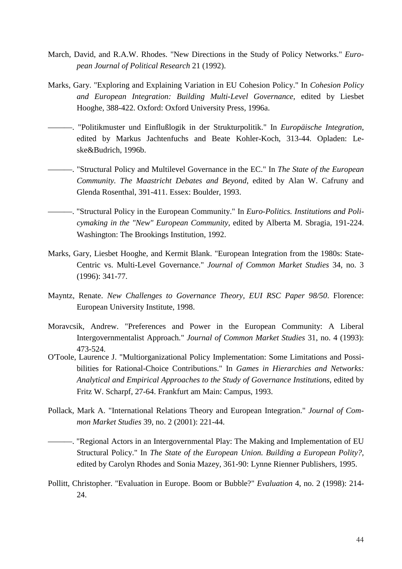- March, David, and R.A.W. Rhodes. "New Directions in the Study of Policy Networks." *European Journal of Political Research* 21 (1992).
- Marks, Gary. "Exploring and Explaining Variation in EU Cohesion Policy." In *Cohesion Policy and European Integration: Building Multi-Level Governance*, edited by Liesbet Hooghe, 388-422. Oxford: Oxford University Press, 1996a.
- ———. "Politikmuster und Einflußlogik in der Strukturpolitik." In *Europäische Integration*, edited by Markus Jachtenfuchs and Beate Kohler-Koch, 313-44. Opladen: Leske&Budrich, 1996b.
- ———. "Structural Policy and Multilevel Governance in the EC." In *The State of the European Community. The Maastricht Debates and Beyond*, edited by Alan W. Cafruny and Glenda Rosenthal, 391-411. Essex: Boulder, 1993.
- ———. "Structural Policy in the European Community." In *Euro-Politics. Institutions and Policymaking in the "New" European Community*, edited by Alberta M. Sbragia, 191-224. Washington: The Brookings Institution, 1992.
- Marks, Gary, Liesbet Hooghe, and Kermit Blank. "European Integration from the 1980s: State-Centric vs. Multi-Level Governance." *Journal of Common Market Studies* 34, no. 3 (1996): 341-77.
- Mayntz, Renate. *New Challenges to Governance Theory, EUI RSC Paper 98/50*. Florence: European University Institute, 1998.
- Moravcsik, Andrew. "Preferences and Power in the European Community: A Liberal Intergovernmentalist Approach." *Journal of Common Market Studies* 31, no. 4 (1993): 473-524.
- O'Toole, Laurence J. "Multiorganizational Policy Implementation: Some Limitations and Possibilities for Rational-Choice Contributions." In *Games in Hierarchies and Networks: Analytical and Empirical Approaches to the Study of Governance Institutions*, edited by Fritz W. Scharpf, 27-64. Frankfurt am Main: Campus, 1993.
- Pollack, Mark A. "International Relations Theory and European Integration." *Journal of Common Market Studies* 39, no. 2 (2001): 221-44.
- ———. "Regional Actors in an Intergovernmental Play: The Making and Implementation of EU Structural Policy." In *The State of the European Union. Building a European Polity?*, edited by Carolyn Rhodes and Sonia Mazey, 361-90: Lynne Rienner Publishers, 1995.
- Pollitt, Christopher. "Evaluation in Europe. Boom or Bubble?" *Evaluation* 4, no. 2 (1998): 214- 24.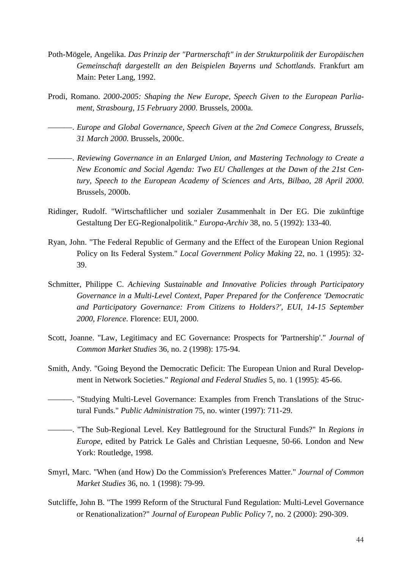- Poth-Mögele, Angelika. *Das Prinzip der "Partnerschaft" in der Strukturpolitik der Europäischen Gemeinschaft dargestellt an den Beispielen Bayerns und Schottlands*. Frankfurt am Main: Peter Lang, 1992.
- Prodi, Romano. *2000-2005: Shaping the New Europe, Speech Given to the European Parliament, Strasbourg, 15 February 2000*. Brussels, 2000a.
- ———. *Europe and Global Governance, Speech Given at the 2nd Comece Congress, Brussels, 31 March 2000*. Brussels, 2000c.
- ———. *Reviewing Governance in an Enlarged Union, and Mastering Technology to Create a New Economic and Social Agenda: Two EU Challenges at the Dawn of the 21st Century, Speech to the European Academy of Sciences and Arts, Bilbao, 28 April 2000*. Brussels, 2000b.
- Ridinger, Rudolf. "Wirtschaftlicher und sozialer Zusammenhalt in Der EG. Die zukünftige Gestaltung Der EG-Regionalpolitik." *Europa-Archiv* 38, no. 5 (1992): 133-40.
- Ryan, John. "The Federal Republic of Germany and the Effect of the European Union Regional Policy on Its Federal System." *Local Government Policy Making* 22, no. 1 (1995): 32- 39.
- Schmitter, Philippe C. *Achieving Sustainable and Innovative Policies through Participatory Governance in a Multi-Level Context, Paper Prepared for the Conference 'Democratic and Participatory Governance: From Citizens to Holders?', EUI, 14-15 September 2000, Florence*. Florence: EUI, 2000.
- Scott, Joanne. "Law, Legitimacy and EC Governance: Prospects for 'Partnership'." *Journal of Common Market Studies* 36, no. 2 (1998): 175-94.
- Smith, Andy. "Going Beyond the Democratic Deficit: The European Union and Rural Development in Network Societies." *Regional and Federal Studies* 5, no. 1 (1995): 45-66.
- ———. "Studying Multi-Level Governance: Examples from French Translations of the Structural Funds." *Public Administration* 75, no. winter (1997): 711-29.
- ———. "The Sub-Regional Level. Key Battleground for the Structural Funds?" In *Regions in Europe*, edited by Patrick Le Galès and Christian Lequesne, 50-66. London and New York: Routledge, 1998.
- Smyrl, Marc. "When (and How) Do the Commission's Preferences Matter." *Journal of Common Market Studies* 36, no. 1 (1998): 79-99.
- Sutcliffe, John B. "The 1999 Reform of the Structural Fund Regulation: Multi-Level Governance or Renationalization?" *Journal of European Public Policy* 7, no. 2 (2000): 290-309.